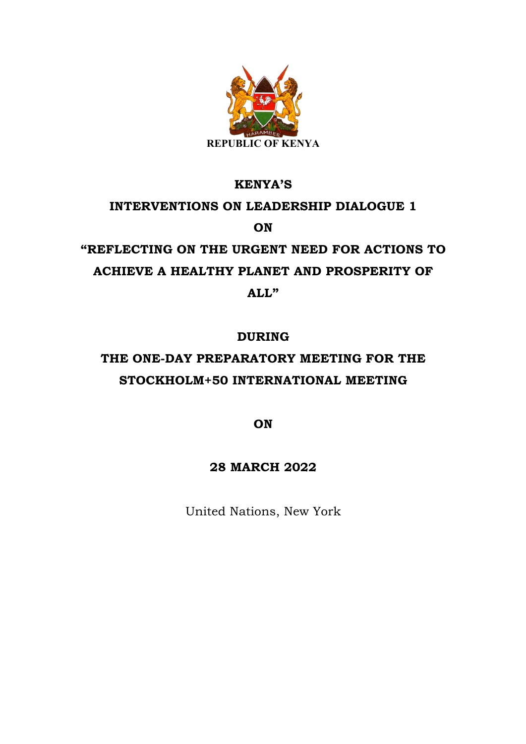

#### **KENYA'S**

# **INTERVENTIONS ON LEADERSHIP DIALOGUE 1 ON**

## **"REFLECTING ON THE URGENT NEED FOR ACTIONS TO ACHIEVE A HEALTHY PLANET AND PROSPERITY OF ALL"**

### **DURING**

### **THE ONE-DAY PREPARATORY MEETING FOR THE STOCKHOLM+50 INTERNATIONAL MEETING**

**ON**

### **28 MARCH 2022**

United Nations, New York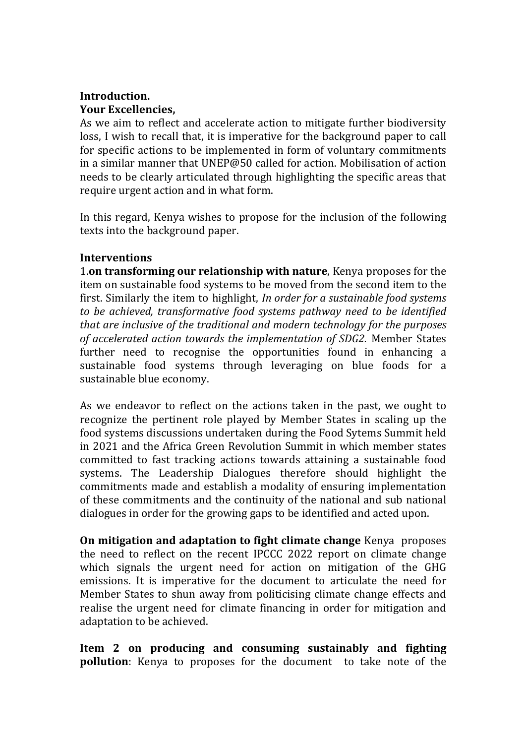### **Introduction. Your Excellencies,**

As we aim to reflect and accelerate action to mitigate further biodiversity loss, I wish to recall that, it is imperative for the background paper to call for specific actions to be implemented in form of voluntary commitments in a similar manner that UNEP@50 called for action. Mobilisation of action needs to be clearly articulated through highlighting the specific areas that require urgent action and in what form.

In this regard, Kenya wishes to propose for the inclusion of the following texts into the background paper.

#### **Interventions**

1.on transforming our relationship with nature, Kenya proposes for the item on sustainable food systems to be moved from the second item to the first. Similarly the item to highlight, *In order for a sustainable food systems* to be achieved, transformative food systems pathway need to be identified *that are inclusive of the traditional and modern technology for the purposes* of accelerated action towards the implementation of SDG2. Member States further need to recognise the opportunities found in enhancing a sustainable food systems through leveraging on blue foods for a sustainable blue economy.

As we endeavor to reflect on the actions taken in the past, we ought to recognize the pertinent role played by Member States in scaling up the food systems discussions undertaken during the Food Sytems Summit held in 2021 and the Africa Green Revolution Summit in which member states committed to fast tracking actions towards attaining a sustainable food systems. The Leadership Dialogues therefore should highlight the commitments made and establish a modality of ensuring implementation of these commitments and the continuity of the national and sub national dialogues in order for the growing gaps to be identified and acted upon.

**On mitigation and adaptation to fight climate change** Kenya proposes the need to reflect on the recent IPCCC 2022 report on climate change which signals the urgent need for action on mitigation of the GHG emissions. It is imperative for the document to articulate the need for Member States to shun away from politicising climate change effects and realise the urgent need for climate financing in order for mitigation and adaptation to be achieved.

**Item 2 on producing and consuming sustainably and fighting pollution**: Kenya to proposes for the document to take note of the